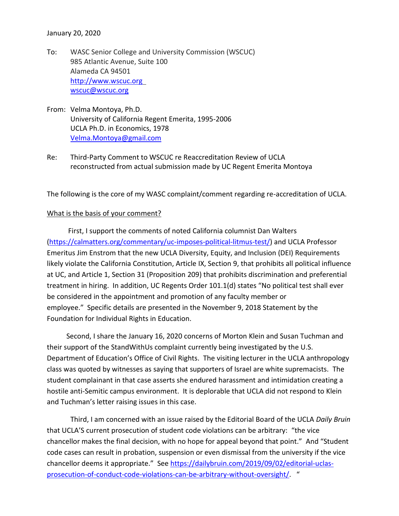January 20, 2020

- To: WASC Senior College and University Commission (WSCUC) 985 Atlantic Avenue, Suite 100 Alameda CA 94501 [http://www.wscuc.org](http://www.wscuc.org/)  [wscuc@wscuc.org](mailto:wscuc@wscuc.org)
- From: Velma Montoya, Ph.D. University of California Regent Emerita, 1995-2006 UCLA Ph.D. in Economics, 1978 [Velma.Montoya@gmail.com](mailto:Velma.Montoya@gmail.com)
- Re: Third-Party Comment to WSCUC re Reaccreditation Review of UCLA reconstructed from actual submission made by UC Regent Emerita Montoya

The following is the core of my WASC complaint/comment regarding re-accreditation of UCLA.

## What is the basis of your comment?

 First, I support the comments of noted California columnist Dan Walters [\(https://calmatters.org/commentary/uc-imposes-political-litmus-test/\)](https://calmatters.org/commentary/uc-imposes-political-litmus-test/) and UCLA Professor Emeritus Jim Enstrom that the new UCLA Diversity, Equity, and Inclusion (DEI) Requirements likely violate the California Constitution, Article IX, Section 9, that prohibits all political influence at UC, and Article 1, Section 31 (Proposition 209) that prohibits discrimination and preferential treatment in hiring. In addition, UC Regents Order 101.1(d) states "No political test shall ever be considered in the appointment and promotion of any faculty member or employee." Specific details are presented in the November 9, 2018 Statement by the Foundation for Individual Rights in Education.

Second, I share the January 16, 2020 concerns of Morton Klein and Susan Tuchman and their support of the StandWithUs complaint currently being investigated by the U.S. Department of Education's Office of Civil Rights. The visiting lecturer in the UCLA anthropology class was quoted by witnesses as saying that supporters of Israel are white supremacists. The student complainant in that case asserts she endured harassment and intimidation creating a hostile anti-Semitic campus environment. It is deplorable that UCLA did not respond to Klein and Tuchman's letter raising issues in this case.

Third, I am concerned with an issue raised by the Editorial Board of the UCLA *Daily Bruin* that UCLA'S current prosecution of student code violations can be arbitrary: "the vice chancellor makes the final decision, with no hope for appeal beyond that point." And "Student code cases can result in probation, suspension or even dismissal from the university if the vice chancellor deems it appropriate." See [https://dailybruin.com/2019/09/02/editorial-uclas](https://dailybruin.com/2019/09/02/editorial-uclas-prosecution-of-conduct-code-violations-can-be-arbitrary-without-oversight/)[prosecution-of-conduct-code-violations-can-be-arbitrary-without-oversight/.](https://dailybruin.com/2019/09/02/editorial-uclas-prosecution-of-conduct-code-violations-can-be-arbitrary-without-oversight/) "